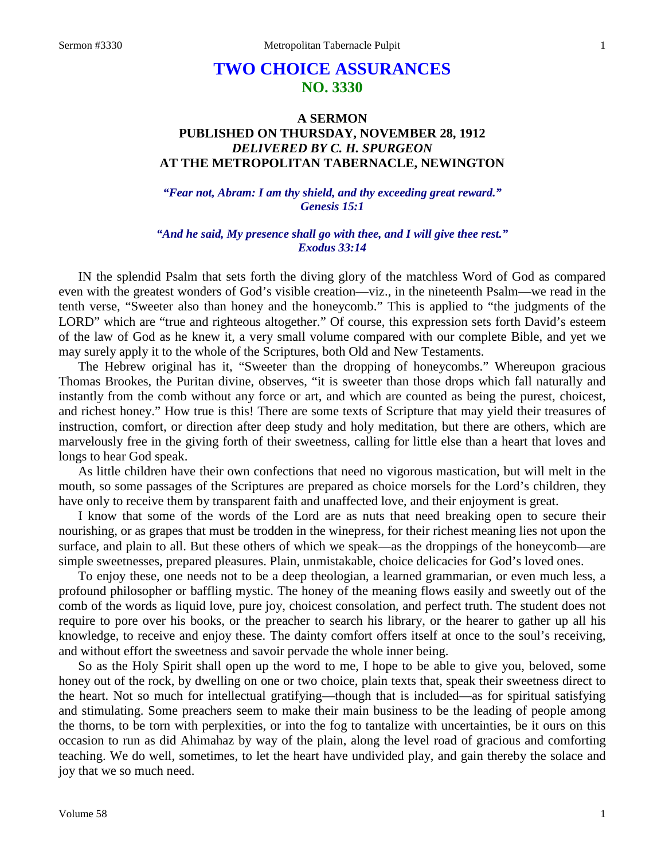# **TWO CHOICE ASSURANCES NO. 3330**

## **A SERMON PUBLISHED ON THURSDAY, NOVEMBER 28, 1912** *DELIVERED BY C. H. SPURGEON* **AT THE METROPOLITAN TABERNACLE, NEWINGTON**

*"Fear not, Abram: I am thy shield, and thy exceeding great reward." Genesis 15:1*

*"And he said, My presence shall go with thee, and I will give thee rest." Exodus 33:14*

IN the splendid Psalm that sets forth the diving glory of the matchless Word of God as compared even with the greatest wonders of God's visible creation—viz., in the nineteenth Psalm—we read in the tenth verse, "Sweeter also than honey and the honeycomb." This is applied to "the judgments of the LORD" which are "true and righteous altogether." Of course, this expression sets forth David's esteem of the law of God as he knew it, a very small volume compared with our complete Bible, and yet we may surely apply it to the whole of the Scriptures, both Old and New Testaments.

The Hebrew original has it, "Sweeter than the dropping of honeycombs." Whereupon gracious Thomas Brookes, the Puritan divine, observes, "it is sweeter than those drops which fall naturally and instantly from the comb without any force or art, and which are counted as being the purest, choicest, and richest honey." How true is this! There are some texts of Scripture that may yield their treasures of instruction, comfort, or direction after deep study and holy meditation, but there are others, which are marvelously free in the giving forth of their sweetness, calling for little else than a heart that loves and longs to hear God speak.

As little children have their own confections that need no vigorous mastication, but will melt in the mouth, so some passages of the Scriptures are prepared as choice morsels for the Lord's children, they have only to receive them by transparent faith and unaffected love, and their enjoyment is great.

I know that some of the words of the Lord are as nuts that need breaking open to secure their nourishing, or as grapes that must be trodden in the winepress, for their richest meaning lies not upon the surface, and plain to all. But these others of which we speak—as the droppings of the honeycomb—are simple sweetnesses, prepared pleasures. Plain, unmistakable, choice delicacies for God's loved ones.

To enjoy these, one needs not to be a deep theologian, a learned grammarian, or even much less, a profound philosopher or baffling mystic. The honey of the meaning flows easily and sweetly out of the comb of the words as liquid love, pure joy, choicest consolation, and perfect truth. The student does not require to pore over his books, or the preacher to search his library, or the hearer to gather up all his knowledge, to receive and enjoy these. The dainty comfort offers itself at once to the soul's receiving, and without effort the sweetness and savoir pervade the whole inner being.

So as the Holy Spirit shall open up the word to me, I hope to be able to give you, beloved, some honey out of the rock, by dwelling on one or two choice, plain texts that, speak their sweetness direct to the heart. Not so much for intellectual gratifying—though that is included—as for spiritual satisfying and stimulating. Some preachers seem to make their main business to be the leading of people among the thorns, to be torn with perplexities, or into the fog to tantalize with uncertainties, be it ours on this occasion to run as did Ahimahaz by way of the plain, along the level road of gracious and comforting teaching. We do well, sometimes, to let the heart have undivided play, and gain thereby the solace and joy that we so much need.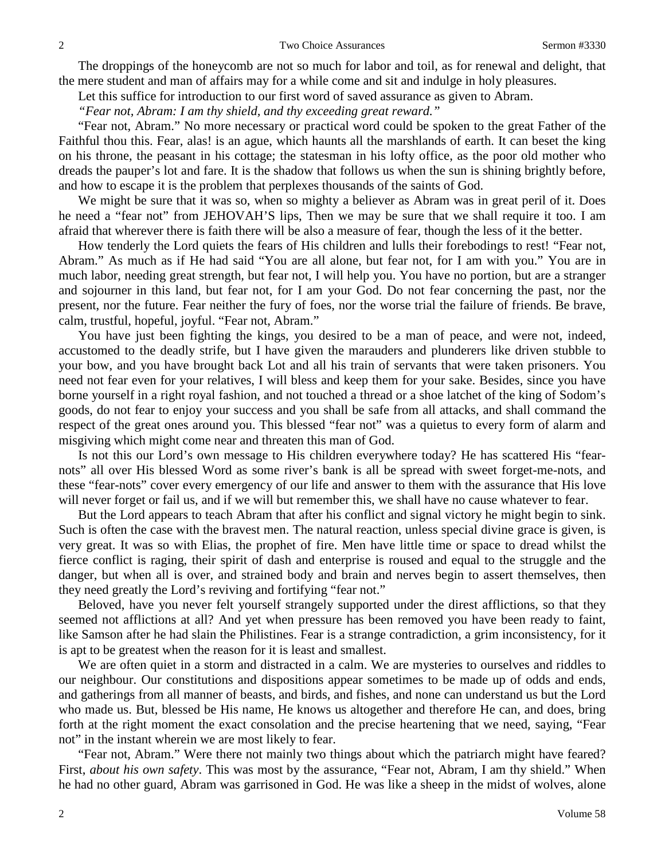The droppings of the honeycomb are not so much for labor and toil, as for renewal and delight, that the mere student and man of affairs may for a while come and sit and indulge in holy pleasures.

Let this suffice for introduction to our first word of saved assurance as given to Abram.

*"Fear not, Abram: I am thy shield, and thy exceeding great reward."*

"Fear not, Abram." No more necessary or practical word could be spoken to the great Father of the Faithful thou this. Fear, alas! is an ague, which haunts all the marshlands of earth. It can beset the king on his throne, the peasant in his cottage; the statesman in his lofty office, as the poor old mother who dreads the pauper's lot and fare. It is the shadow that follows us when the sun is shining brightly before, and how to escape it is the problem that perplexes thousands of the saints of God.

We might be sure that it was so, when so mighty a believer as Abram was in great peril of it. Does he need a "fear not" from JEHOVAH'S lips, Then we may be sure that we shall require it too. I am afraid that wherever there is faith there will be also a measure of fear, though the less of it the better.

How tenderly the Lord quiets the fears of His children and lulls their forebodings to rest! "Fear not, Abram." As much as if He had said "You are all alone, but fear not, for I am with you." You are in much labor, needing great strength, but fear not, I will help you. You have no portion, but are a stranger and sojourner in this land, but fear not, for I am your God. Do not fear concerning the past, nor the present, nor the future. Fear neither the fury of foes, nor the worse trial the failure of friends. Be brave, calm, trustful, hopeful, joyful. "Fear not, Abram."

You have just been fighting the kings, you desired to be a man of peace, and were not, indeed, accustomed to the deadly strife, but I have given the marauders and plunderers like driven stubble to your bow, and you have brought back Lot and all his train of servants that were taken prisoners. You need not fear even for your relatives, I will bless and keep them for your sake. Besides, since you have borne yourself in a right royal fashion, and not touched a thread or a shoe latchet of the king of Sodom's goods, do not fear to enjoy your success and you shall be safe from all attacks, and shall command the respect of the great ones around you. This blessed "fear not" was a quietus to every form of alarm and misgiving which might come near and threaten this man of God.

Is not this our Lord's own message to His children everywhere today? He has scattered His "fearnots" all over His blessed Word as some river's bank is all be spread with sweet forget-me-nots, and these "fear-nots" cover every emergency of our life and answer to them with the assurance that His love will never forget or fail us, and if we will but remember this, we shall have no cause whatever to fear.

But the Lord appears to teach Abram that after his conflict and signal victory he might begin to sink. Such is often the case with the bravest men. The natural reaction, unless special divine grace is given, is very great. It was so with Elias, the prophet of fire. Men have little time or space to dread whilst the fierce conflict is raging, their spirit of dash and enterprise is roused and equal to the struggle and the danger, but when all is over, and strained body and brain and nerves begin to assert themselves, then they need greatly the Lord's reviving and fortifying "fear not."

Beloved, have you never felt yourself strangely supported under the direst afflictions, so that they seemed not afflictions at all? And yet when pressure has been removed you have been ready to faint, like Samson after he had slain the Philistines. Fear is a strange contradiction, a grim inconsistency, for it is apt to be greatest when the reason for it is least and smallest.

We are often quiet in a storm and distracted in a calm. We are mysteries to ourselves and riddles to our neighbour. Our constitutions and dispositions appear sometimes to be made up of odds and ends, and gatherings from all manner of beasts, and birds, and fishes, and none can understand us but the Lord who made us. But, blessed be His name, He knows us altogether and therefore He can, and does, bring forth at the right moment the exact consolation and the precise heartening that we need, saying, "Fear not" in the instant wherein we are most likely to fear.

"Fear not, Abram." Were there not mainly two things about which the patriarch might have feared? First, *about his own safety*. This was most by the assurance, "Fear not, Abram, I am thy shield." When he had no other guard, Abram was garrisoned in God. He was like a sheep in the midst of wolves, alone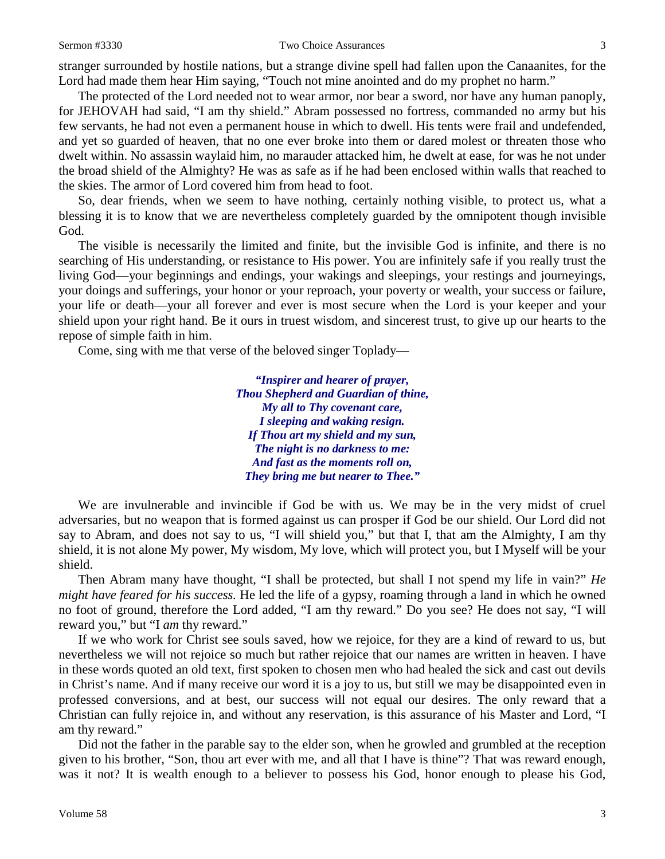#### Sermon #3330 Two Choice Assurances 3

stranger surrounded by hostile nations, but a strange divine spell had fallen upon the Canaanites, for the

Lord had made them hear Him saying, "Touch not mine anointed and do my prophet no harm." The protected of the Lord needed not to wear armor, nor bear a sword, nor have any human panoply, for JEHOVAH had said, "I am thy shield." Abram possessed no fortress, commanded no army but his few servants, he had not even a permanent house in which to dwell. His tents were frail and undefended, and yet so guarded of heaven, that no one ever broke into them or dared molest or threaten those who dwelt within. No assassin waylaid him, no marauder attacked him, he dwelt at ease, for was he not under the broad shield of the Almighty? He was as safe as if he had been enclosed within walls that reached to the skies. The armor of Lord covered him from head to foot.

So, dear friends, when we seem to have nothing, certainly nothing visible, to protect us, what a blessing it is to know that we are nevertheless completely guarded by the omnipotent though invisible God.

The visible is necessarily the limited and finite, but the invisible God is infinite, and there is no searching of His understanding, or resistance to His power. You are infinitely safe if you really trust the living God—your beginnings and endings, your wakings and sleepings, your restings and journeyings, your doings and sufferings, your honor or your reproach, your poverty or wealth, your success or failure, your life or death—your all forever and ever is most secure when the Lord is your keeper and your shield upon your right hand. Be it ours in truest wisdom, and sincerest trust, to give up our hearts to the repose of simple faith in him.

Come, sing with me that verse of the beloved singer Toplady—

*"Inspirer and hearer of prayer, Thou Shepherd and Guardian of thine, My all to Thy covenant care, I sleeping and waking resign. If Thou art my shield and my sun, The night is no darkness to me: And fast as the moments roll on, They bring me but nearer to Thee."*

We are invulnerable and invincible if God be with us. We may be in the very midst of cruel adversaries, but no weapon that is formed against us can prosper if God be our shield. Our Lord did not say to Abram, and does not say to us, "I will shield you," but that I, that am the Almighty, I am thy shield, it is not alone My power, My wisdom, My love, which will protect you, but I Myself will be your shield.

Then Abram many have thought, "I shall be protected, but shall I not spend my life in vain?" *He might have feared for his success.* He led the life of a gypsy, roaming through a land in which he owned no foot of ground, therefore the Lord added, "I am thy reward." Do you see? He does not say, "I will reward you," but "I *am* thy reward."

If we who work for Christ see souls saved, how we rejoice, for they are a kind of reward to us, but nevertheless we will not rejoice so much but rather rejoice that our names are written in heaven. I have in these words quoted an old text, first spoken to chosen men who had healed the sick and cast out devils in Christ's name. And if many receive our word it is a joy to us, but still we may be disappointed even in professed conversions, and at best, our success will not equal our desires. The only reward that a Christian can fully rejoice in, and without any reservation, is this assurance of his Master and Lord, "I am thy reward."

Did not the father in the parable say to the elder son, when he growled and grumbled at the reception given to his brother, "Son, thou art ever with me, and all that I have is thine"? That was reward enough, was it not? It is wealth enough to a believer to possess his God, honor enough to please his God,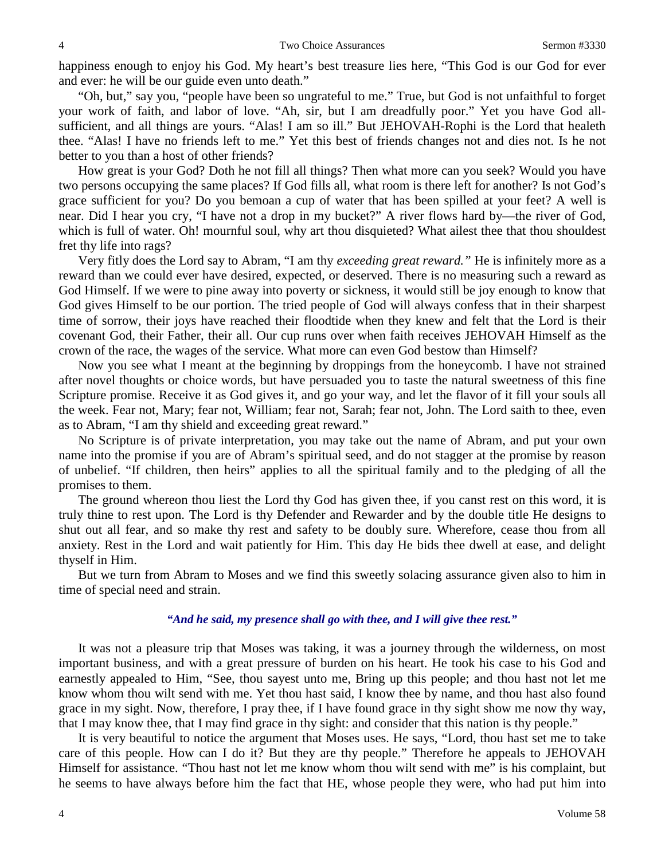happiness enough to enjoy his God. My heart's best treasure lies here, "This God is our God for ever and ever: he will be our guide even unto death."

"Oh, but," say you, "people have been so ungrateful to me." True, but God is not unfaithful to forget your work of faith, and labor of love. "Ah, sir, but I am dreadfully poor." Yet you have God allsufficient, and all things are yours. "Alas! I am so ill." But JEHOVAH-Rophi is the Lord that healeth thee. "Alas! I have no friends left to me." Yet this best of friends changes not and dies not. Is he not better to you than a host of other friends?

How great is your God? Doth he not fill all things? Then what more can you seek? Would you have two persons occupying the same places? If God fills all, what room is there left for another? Is not God's grace sufficient for you? Do you bemoan a cup of water that has been spilled at your feet? A well is near. Did I hear you cry, "I have not a drop in my bucket?" A river flows hard by—the river of God, which is full of water. Oh! mournful soul, why art thou disquieted? What ailest thee that thou shouldest fret thy life into rags?

Very fitly does the Lord say to Abram, "I am thy *exceeding great reward."* He is infinitely more as a reward than we could ever have desired, expected, or deserved. There is no measuring such a reward as God Himself. If we were to pine away into poverty or sickness, it would still be joy enough to know that God gives Himself to be our portion. The tried people of God will always confess that in their sharpest time of sorrow, their joys have reached their floodtide when they knew and felt that the Lord is their covenant God, their Father, their all. Our cup runs over when faith receives JEHOVAH Himself as the crown of the race, the wages of the service. What more can even God bestow than Himself?

Now you see what I meant at the beginning by droppings from the honeycomb. I have not strained after novel thoughts or choice words, but have persuaded you to taste the natural sweetness of this fine Scripture promise. Receive it as God gives it, and go your way, and let the flavor of it fill your souls all the week. Fear not, Mary; fear not, William; fear not, Sarah; fear not, John. The Lord saith to thee, even as to Abram, "I am thy shield and exceeding great reward."

No Scripture is of private interpretation, you may take out the name of Abram, and put your own name into the promise if you are of Abram's spiritual seed, and do not stagger at the promise by reason of unbelief. "If children, then heirs" applies to all the spiritual family and to the pledging of all the promises to them.

The ground whereon thou liest the Lord thy God has given thee, if you canst rest on this word, it is truly thine to rest upon. The Lord is thy Defender and Rewarder and by the double title He designs to shut out all fear, and so make thy rest and safety to be doubly sure. Wherefore, cease thou from all anxiety. Rest in the Lord and wait patiently for Him. This day He bids thee dwell at ease, and delight thyself in Him.

But we turn from Abram to Moses and we find this sweetly solacing assurance given also to him in time of special need and strain.

#### *"And he said, my presence shall go with thee, and I will give thee rest."*

It was not a pleasure trip that Moses was taking, it was a journey through the wilderness, on most important business, and with a great pressure of burden on his heart. He took his case to his God and earnestly appealed to Him, "See, thou sayest unto me, Bring up this people; and thou hast not let me know whom thou wilt send with me. Yet thou hast said, I know thee by name, and thou hast also found grace in my sight. Now, therefore, I pray thee, if I have found grace in thy sight show me now thy way, that I may know thee, that I may find grace in thy sight: and consider that this nation is thy people."

It is very beautiful to notice the argument that Moses uses. He says, "Lord, thou hast set me to take care of this people. How can I do it? But they are thy people." Therefore he appeals to JEHOVAH Himself for assistance. "Thou hast not let me know whom thou wilt send with me" is his complaint, but he seems to have always before him the fact that HE, whose people they were, who had put him into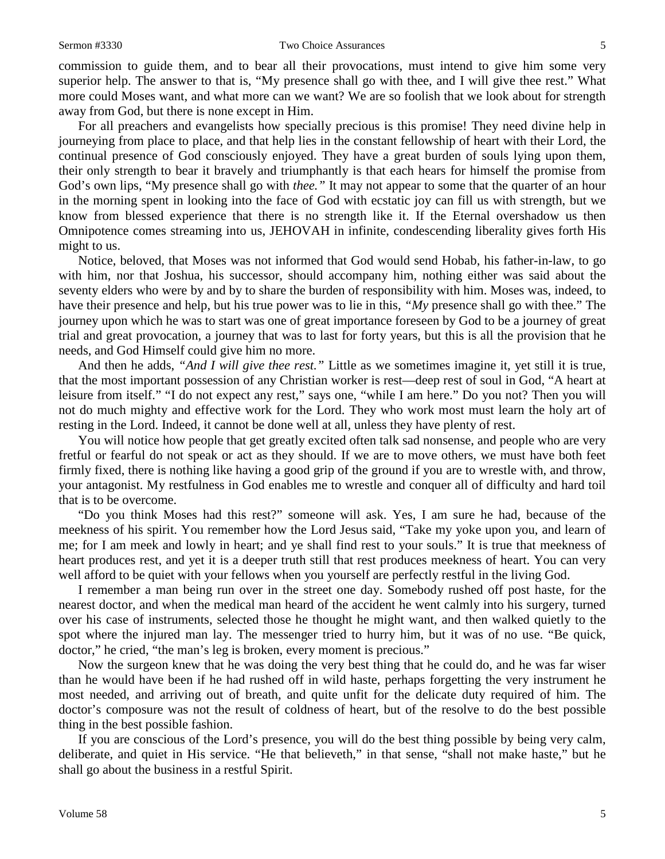commission to guide them, and to bear all their provocations, must intend to give him some very superior help. The answer to that is, "My presence shall go with thee, and I will give thee rest." What more could Moses want, and what more can we want? We are so foolish that we look about for strength away from God, but there is none except in Him.

For all preachers and evangelists how specially precious is this promise! They need divine help in journeying from place to place, and that help lies in the constant fellowship of heart with their Lord, the continual presence of God consciously enjoyed. They have a great burden of souls lying upon them, their only strength to bear it bravely and triumphantly is that each hears for himself the promise from God's own lips, "My presence shall go with *thee."* It may not appear to some that the quarter of an hour in the morning spent in looking into the face of God with ecstatic joy can fill us with strength, but we know from blessed experience that there is no strength like it. If the Eternal overshadow us then Omnipotence comes streaming into us, JEHOVAH in infinite, condescending liberality gives forth His might to us.

Notice, beloved, that Moses was not informed that God would send Hobab, his father-in-law, to go with him, nor that Joshua, his successor, should accompany him, nothing either was said about the seventy elders who were by and by to share the burden of responsibility with him. Moses was, indeed, to have their presence and help, but his true power was to lie in this, *"My* presence shall go with thee." The journey upon which he was to start was one of great importance foreseen by God to be a journey of great trial and great provocation, a journey that was to last for forty years, but this is all the provision that he needs, and God Himself could give him no more.

And then he adds, *"And I will give thee rest."* Little as we sometimes imagine it, yet still it is true, that the most important possession of any Christian worker is rest—deep rest of soul in God, "A heart at leisure from itself." "I do not expect any rest," says one, "while I am here." Do you not? Then you will not do much mighty and effective work for the Lord. They who work most must learn the holy art of resting in the Lord. Indeed, it cannot be done well at all, unless they have plenty of rest.

You will notice how people that get greatly excited often talk sad nonsense, and people who are very fretful or fearful do not speak or act as they should. If we are to move others, we must have both feet firmly fixed, there is nothing like having a good grip of the ground if you are to wrestle with, and throw, your antagonist. My restfulness in God enables me to wrestle and conquer all of difficulty and hard toil that is to be overcome.

"Do you think Moses had this rest?" someone will ask. Yes, I am sure he had, because of the meekness of his spirit. You remember how the Lord Jesus said, "Take my yoke upon you, and learn of me; for I am meek and lowly in heart; and ye shall find rest to your souls." It is true that meekness of heart produces rest, and yet it is a deeper truth still that rest produces meekness of heart. You can very well afford to be quiet with your fellows when you yourself are perfectly restful in the living God.

I remember a man being run over in the street one day. Somebody rushed off post haste, for the nearest doctor, and when the medical man heard of the accident he went calmly into his surgery, turned over his case of instruments, selected those he thought he might want, and then walked quietly to the spot where the injured man lay. The messenger tried to hurry him, but it was of no use. "Be quick, doctor," he cried, "the man's leg is broken, every moment is precious."

Now the surgeon knew that he was doing the very best thing that he could do, and he was far wiser than he would have been if he had rushed off in wild haste, perhaps forgetting the very instrument he most needed, and arriving out of breath, and quite unfit for the delicate duty required of him. The doctor's composure was not the result of coldness of heart, but of the resolve to do the best possible thing in the best possible fashion.

If you are conscious of the Lord's presence, you will do the best thing possible by being very calm, deliberate, and quiet in His service. "He that believeth," in that sense, "shall not make haste," but he shall go about the business in a restful Spirit.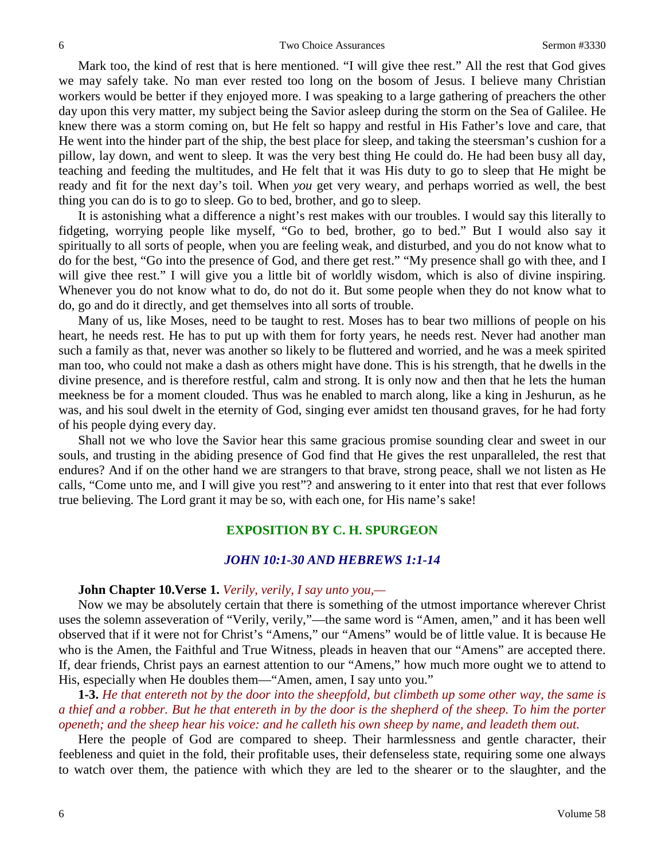Mark too, the kind of rest that is here mentioned. "I will give thee rest." All the rest that God gives we may safely take. No man ever rested too long on the bosom of Jesus. I believe many Christian workers would be better if they enjoyed more. I was speaking to a large gathering of preachers the other day upon this very matter, my subject being the Savior asleep during the storm on the Sea of Galilee. He knew there was a storm coming on, but He felt so happy and restful in His Father's love and care, that He went into the hinder part of the ship, the best place for sleep, and taking the steersman's cushion for a pillow, lay down, and went to sleep. It was the very best thing He could do. He had been busy all day, teaching and feeding the multitudes, and He felt that it was His duty to go to sleep that He might be ready and fit for the next day's toil. When *you* get very weary, and perhaps worried as well, the best thing you can do is to go to sleep. Go to bed, brother, and go to sleep.

It is astonishing what a difference a night's rest makes with our troubles. I would say this literally to fidgeting, worrying people like myself, "Go to bed, brother, go to bed." But I would also say it spiritually to all sorts of people, when you are feeling weak, and disturbed, and you do not know what to do for the best, "Go into the presence of God, and there get rest." "My presence shall go with thee, and I will give thee rest." I will give you a little bit of worldly wisdom, which is also of divine inspiring. Whenever you do not know what to do, do not do it. But some people when they do not know what to do, go and do it directly, and get themselves into all sorts of trouble.

Many of us, like Moses, need to be taught to rest. Moses has to bear two millions of people on his heart, he needs rest. He has to put up with them for forty years, he needs rest. Never had another man such a family as that, never was another so likely to be fluttered and worried, and he was a meek spirited man too, who could not make a dash as others might have done. This is his strength, that he dwells in the divine presence, and is therefore restful, calm and strong. It is only now and then that he lets the human meekness be for a moment clouded. Thus was he enabled to march along, like a king in Jeshurun, as he was, and his soul dwelt in the eternity of God, singing ever amidst ten thousand graves, for he had forty of his people dying every day.

Shall not we who love the Savior hear this same gracious promise sounding clear and sweet in our souls, and trusting in the abiding presence of God find that He gives the rest unparalleled, the rest that endures? And if on the other hand we are strangers to that brave, strong peace, shall we not listen as He calls, "Come unto me, and I will give you rest"? and answering to it enter into that rest that ever follows true believing. The Lord grant it may be so, with each one, for His name's sake!

## **EXPOSITION BY C. H. SPURGEON**

## *JOHN 10:1-30 AND HEBREWS 1:1-14*

#### **John Chapter 10.Verse 1.** *Verily, verily, I say unto you,—*

Now we may be absolutely certain that there is something of the utmost importance wherever Christ uses the solemn asseveration of "Verily, verily,"—the same word is "Amen, amen," and it has been well observed that if it were not for Christ's "Amens," our "Amens" would be of little value. It is because He who is the Amen, the Faithful and True Witness, pleads in heaven that our "Amens" are accepted there. If, dear friends, Christ pays an earnest attention to our "Amens," how much more ought we to attend to His, especially when He doubles them—"Amen, amen, I say unto you."

**1-3.** *He that entereth not by the door into the sheepfold, but climbeth up some other way, the same is a thief and a robber. But he that entereth in by the door is the shepherd of the sheep. To him the porter openeth; and the sheep hear his voice: and he calleth his own sheep by name, and leadeth them out.*

Here the people of God are compared to sheep. Their harmlessness and gentle character, their feebleness and quiet in the fold, their profitable uses, their defenseless state, requiring some one always to watch over them, the patience with which they are led to the shearer or to the slaughter, and the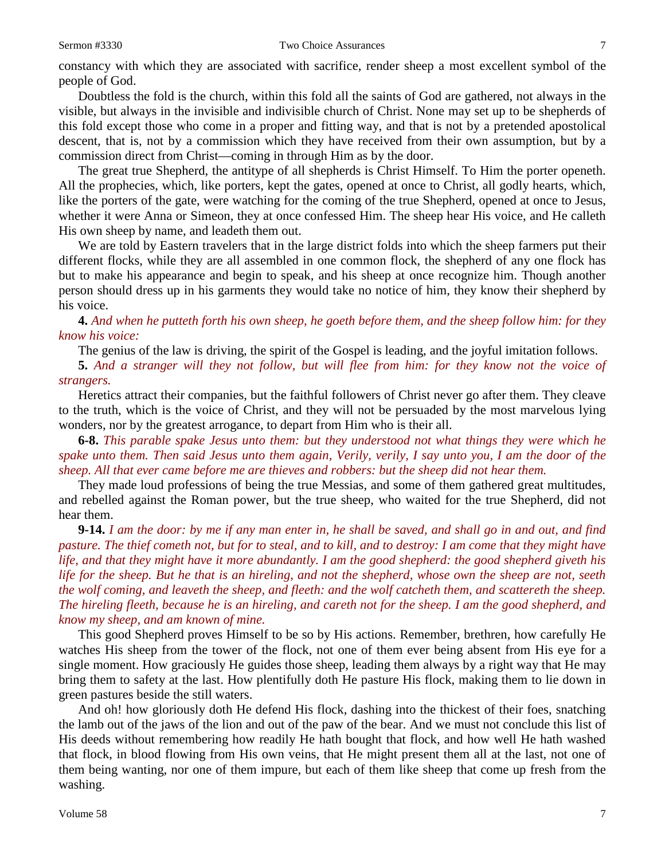constancy with which they are associated with sacrifice, render sheep a most excellent symbol of the people of God.

Doubtless the fold is the church, within this fold all the saints of God are gathered, not always in the visible, but always in the invisible and indivisible church of Christ. None may set up to be shepherds of this fold except those who come in a proper and fitting way, and that is not by a pretended apostolical descent, that is, not by a commission which they have received from their own assumption, but by a commission direct from Christ—coming in through Him as by the door.

The great true Shepherd, the antitype of all shepherds is Christ Himself. To Him the porter openeth. All the prophecies, which, like porters, kept the gates, opened at once to Christ, all godly hearts, which, like the porters of the gate, were watching for the coming of the true Shepherd, opened at once to Jesus, whether it were Anna or Simeon, they at once confessed Him. The sheep hear His voice, and He calleth His own sheep by name, and leadeth them out.

We are told by Eastern travelers that in the large district folds into which the sheep farmers put their different flocks, while they are all assembled in one common flock, the shepherd of any one flock has but to make his appearance and begin to speak, and his sheep at once recognize him. Though another person should dress up in his garments they would take no notice of him, they know their shepherd by his voice.

**4.** *And when he putteth forth his own sheep, he goeth before them, and the sheep follow him: for they know his voice:*

The genius of the law is driving, the spirit of the Gospel is leading, and the joyful imitation follows.

**5.** *And a stranger will they not follow, but will flee from him: for they know not the voice of strangers.*

Heretics attract their companies, but the faithful followers of Christ never go after them. They cleave to the truth, which is the voice of Christ, and they will not be persuaded by the most marvelous lying wonders, nor by the greatest arrogance, to depart from Him who is their all.

**6-8.** *This parable spake Jesus unto them: but they understood not what things they were which he spake unto them. Then said Jesus unto them again, Verily, verily, I say unto you, I am the door of the sheep. All that ever came before me are thieves and robbers: but the sheep did not hear them.*

They made loud professions of being the true Messias, and some of them gathered great multitudes, and rebelled against the Roman power, but the true sheep, who waited for the true Shepherd, did not hear them.

**9-14.** *I am the door: by me if any man enter in, he shall be saved, and shall go in and out, and find pasture. The thief cometh not, but for to steal, and to kill, and to destroy: I am come that they might have life, and that they might have it more abundantly. I am the good shepherd: the good shepherd giveth his life for the sheep. But he that is an hireling, and not the shepherd, whose own the sheep are not, seeth the wolf coming, and leaveth the sheep, and fleeth: and the wolf catcheth them, and scattereth the sheep. The hireling fleeth, because he is an hireling, and careth not for the sheep. I am the good shepherd, and know my sheep, and am known of mine.*

This good Shepherd proves Himself to be so by His actions. Remember, brethren, how carefully He watches His sheep from the tower of the flock, not one of them ever being absent from His eye for a single moment. How graciously He guides those sheep, leading them always by a right way that He may bring them to safety at the last. How plentifully doth He pasture His flock, making them to lie down in green pastures beside the still waters.

And oh! how gloriously doth He defend His flock, dashing into the thickest of their foes, snatching the lamb out of the jaws of the lion and out of the paw of the bear. And we must not conclude this list of His deeds without remembering how readily He hath bought that flock, and how well He hath washed that flock, in blood flowing from His own veins, that He might present them all at the last, not one of them being wanting, nor one of them impure, but each of them like sheep that come up fresh from the washing.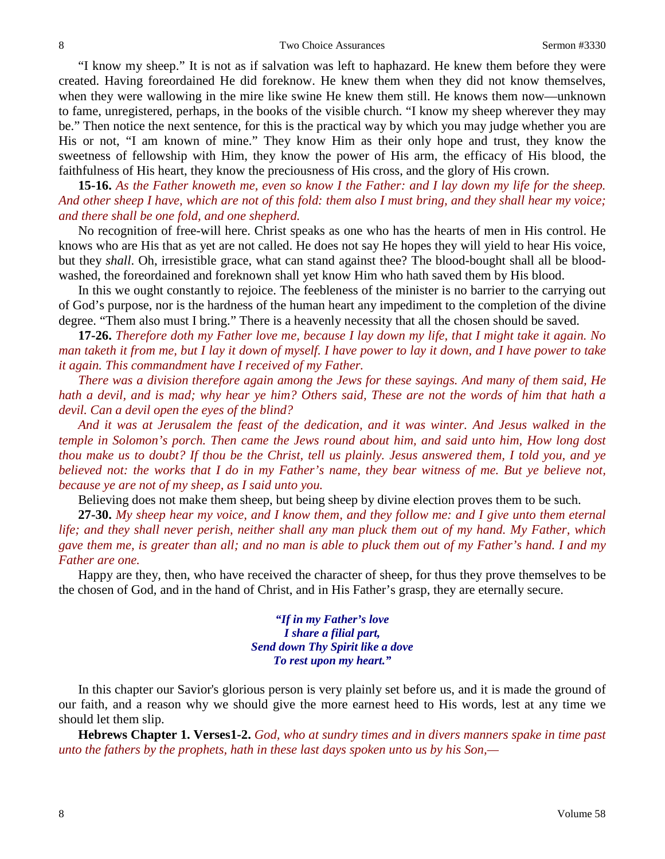"I know my sheep." It is not as if salvation was left to haphazard. He knew them before they were created. Having foreordained He did foreknow. He knew them when they did not know themselves, when they were wallowing in the mire like swine He knew them still. He knows them now—unknown to fame, unregistered, perhaps, in the books of the visible church. "I know my sheep wherever they may be." Then notice the next sentence, for this is the practical way by which you may judge whether you are His or not, "I am known of mine." They know Him as their only hope and trust, they know the sweetness of fellowship with Him, they know the power of His arm, the efficacy of His blood, the faithfulness of His heart, they know the preciousness of His cross, and the glory of His crown.

**15-16.** *As the Father knoweth me, even so know I the Father: and I lay down my life for the sheep. And other sheep I have, which are not of this fold: them also I must bring, and they shall hear my voice; and there shall be one fold, and one shepherd.*

No recognition of free-will here. Christ speaks as one who has the hearts of men in His control. He knows who are His that as yet are not called. He does not say He hopes they will yield to hear His voice, but they *shall*. Oh, irresistible grace, what can stand against thee? The blood-bought shall all be bloodwashed, the foreordained and foreknown shall yet know Him who hath saved them by His blood.

In this we ought constantly to rejoice. The feebleness of the minister is no barrier to the carrying out of God's purpose, nor is the hardness of the human heart any impediment to the completion of the divine degree. "Them also must I bring." There is a heavenly necessity that all the chosen should be saved.

**17-26.** *Therefore doth my Father love me, because I lay down my life, that I might take it again. No man taketh it from me, but I lay it down of myself. I have power to lay it down, and I have power to take it again. This commandment have I received of my Father.* 

*There was a division therefore again among the Jews for these sayings. And many of them said, He hath a devil, and is mad; why hear ye him? Others said, These are not the words of him that hath a devil. Can a devil open the eyes of the blind?* 

*And it was at Jerusalem the feast of the dedication, and it was winter. And Jesus walked in the temple in Solomon's porch. Then came the Jews round about him, and said unto him, How long dost thou make us to doubt? If thou be the Christ, tell us plainly. Jesus answered them, I told you, and ye believed not: the works that I do in my Father's name, they bear witness of me. But ye believe not, because ye are not of my sheep, as I said unto you.* 

Believing does not make them sheep, but being sheep by divine election proves them to be such.

**27-30.** *My sheep hear my voice, and I know them, and they follow me: and I give unto them eternal life; and they shall never perish, neither shall any man pluck them out of my hand. My Father, which gave them me, is greater than all; and no man is able to pluck them out of my Father's hand. I and my Father are one.*

Happy are they, then, who have received the character of sheep, for thus they prove themselves to be the chosen of God, and in the hand of Christ, and in His Father's grasp, they are eternally secure.

> *"If in my Father's love I share a filial part, Send down Thy Spirit like a dove To rest upon my heart."*

In this chapter our Savior's glorious person is very plainly set before us, and it is made the ground of our faith, and a reason why we should give the more earnest heed to His words, lest at any time we should let them slip.

**Hebrews Chapter 1. Verses1-2.** *God, who at sundry times and in divers manners spake in time past unto the fathers by the prophets, hath in these last days spoken unto us by his Son,—*